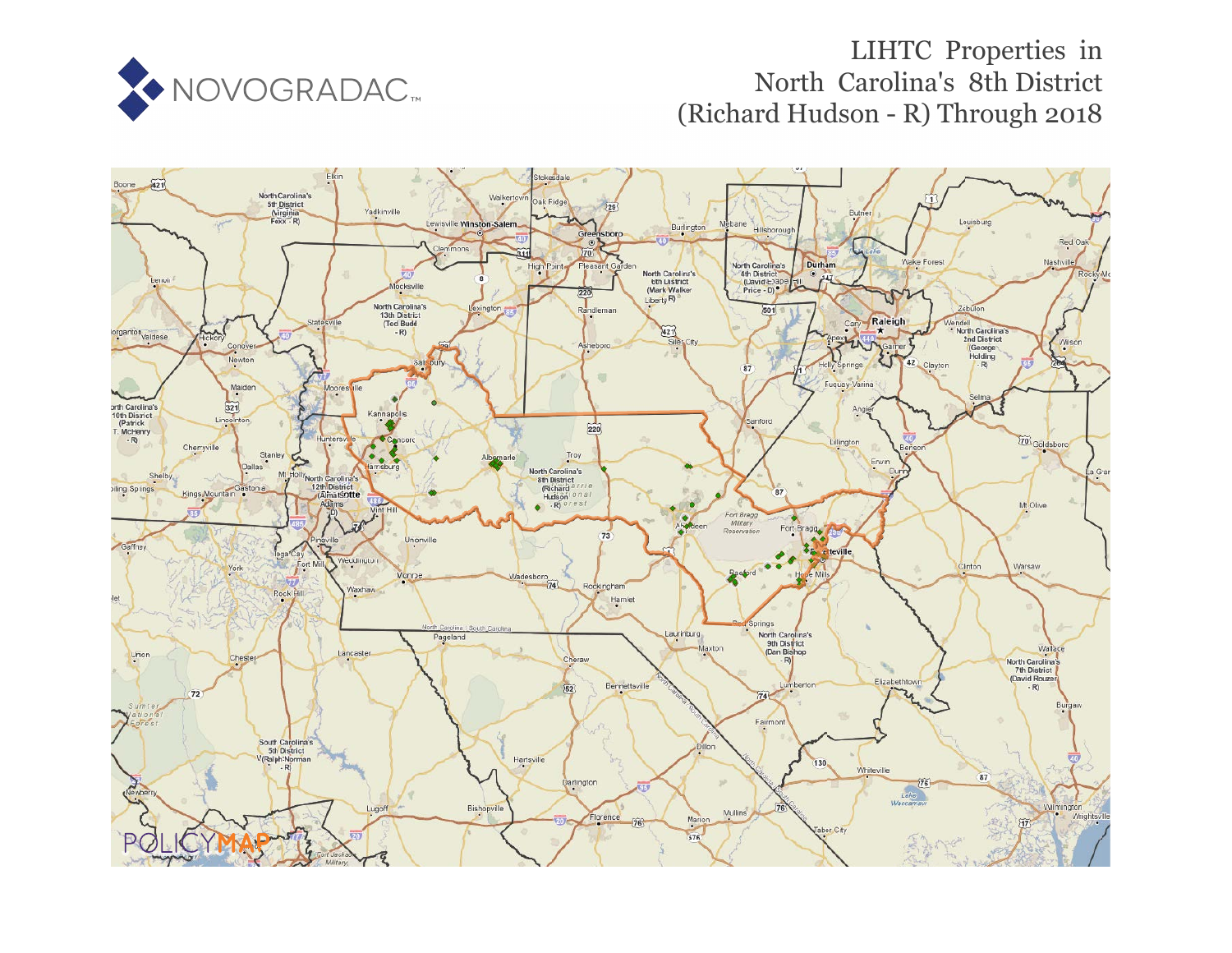

# LIHTC Properties in North Carolina's 8th District (Richard Hudson - R) Through 2018

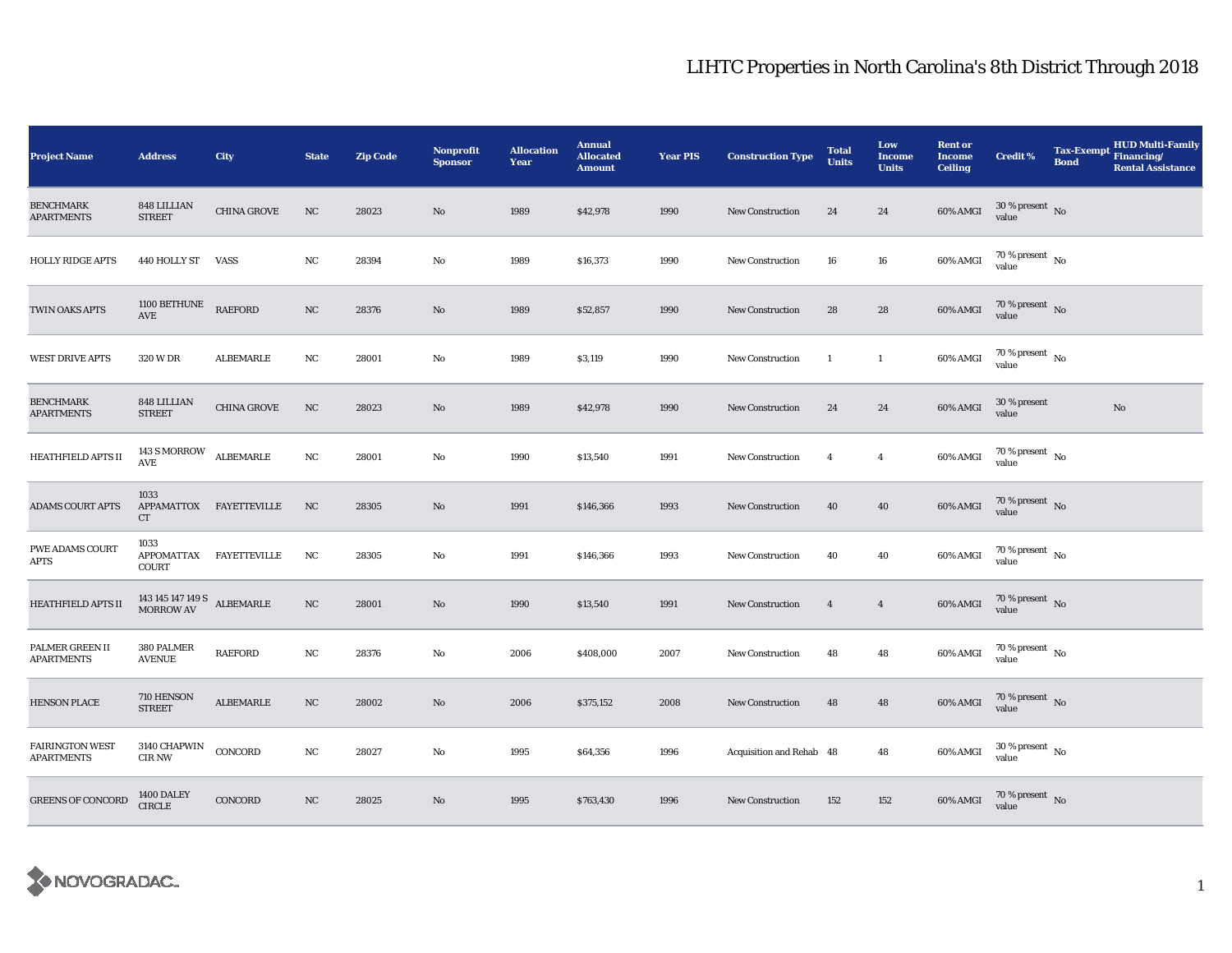| <b>Project Name</b>                         | <b>Address</b>                                                                                              | City                    | <b>State</b> | <b>Zip Code</b> | <b>Nonprofit</b><br><b>Sponsor</b> | <b>Allocation</b><br>Year | <b>Annual</b><br><b>Allocated</b><br><b>Amount</b> | <b>Year PIS</b> | <b>Construction Type</b> | <b>Total</b><br><b>Units</b> | Low<br><b>Income</b><br><b>Units</b> | <b>Rent or</b><br><b>Income</b><br><b>Ceiling</b> | <b>Credit %</b>                        | <b>Tax-Exempt</b><br><b>Bond</b> | <b>HUD Multi-Family</b><br>Financing/<br><b>Rental Assistance</b> |
|---------------------------------------------|-------------------------------------------------------------------------------------------------------------|-------------------------|--------------|-----------------|------------------------------------|---------------------------|----------------------------------------------------|-----------------|--------------------------|------------------------------|--------------------------------------|---------------------------------------------------|----------------------------------------|----------------------------------|-------------------------------------------------------------------|
| <b>BENCHMARK</b><br><b>APARTMENTS</b>       | 848 LILLIAN<br><b>STREET</b>                                                                                | <b>CHINA GROVE</b>      | NC           | 28023           | No                                 | 1989                      | \$42,978                                           | 1990            | <b>New Construction</b>  | 24                           | 24                                   | 60% AMGI                                          | $30$ % present $\,$ No value           |                                  |                                                                   |
| <b>HOLLY RIDGE APTS</b>                     | 440 HOLLY ST VASS                                                                                           |                         | NC           | 28394           | No                                 | 1989                      | \$16,373                                           | 1990            | New Construction         | 16                           | 16                                   | 60% AMGI                                          | $70\,\%$ present $\,$ No $\,$<br>value |                                  |                                                                   |
| TWIN OAKS APTS                              | 1100 BETHUNE<br>AVE                                                                                         | <b>RAEFORD</b>          | NC           | 28376           | No                                 | 1989                      | \$52,857                                           | 1990            | <b>New Construction</b>  | 28                           | 28                                   | 60% AMGI                                          | $70\,\%$ present $\,$ No value         |                                  |                                                                   |
| <b>WEST DRIVE APTS</b>                      | 320 W DR                                                                                                    | <b>ALBEMARLE</b>        | NC           | 28001           | No                                 | 1989                      | \$3,119                                            | 1990            | New Construction         | $\mathbf{1}$                 | $\mathbf{1}$                         | 60% AMGI                                          | 70 % present $\hbox{~No}$<br>value     |                                  |                                                                   |
| <b>BENCHMARK</b><br><b>APARTMENTS</b>       | 848 LILLIAN<br><b>STREET</b>                                                                                | <b>CHINA GROVE</b>      | $_{\rm NC}$  | 28023           | No                                 | 1989                      | \$42,978                                           | 1990            | New Construction         | 24                           | 24                                   | 60% AMGI                                          | 30 % present<br>value                  |                                  | No                                                                |
| HEATHFIELD APTS II                          | 143 S MORROW ALBEMARLE<br>$\operatorname{AVE}$                                                              |                         | NC           | 28001           | No                                 | 1990                      | \$13,540                                           | 1991            | <b>New Construction</b>  | $\overline{4}$               | $\overline{4}$                       | 60% AMGI                                          | $70\,\%$ present $\,$ No value         |                                  |                                                                   |
| <b>ADAMS COURT APTS</b>                     | 1033<br>CT                                                                                                  | APPAMATTOX FAYETTEVILLE | NC           | 28305           | No                                 | 1991                      | \$146,366                                          | 1993            | <b>New Construction</b>  | 40                           | 40                                   | 60% AMGI                                          | $70$ % present $_{\rm~No}$             |                                  |                                                                   |
| PWE ADAMS COURT<br>APTS                     | 1033<br><b>COURT</b>                                                                                        | APPOMATTAX FAYETTEVILLE | NC           | 28305           | No                                 | 1991                      | \$146,366                                          | 1993            | <b>New Construction</b>  | 40                           | 40                                   | 60% AMGI                                          | $70\,\%$ present $\,$ No value         |                                  |                                                                   |
| <b>HEATHFIELD APTS II</b>                   | ${\begin{array}{cc} 143\,145\,147\,149\,S\\ {\small\bf MORROW\,AV} \end{array}}\quad {\small\bf ALBEMARLE}$ |                         | NC           | 28001           | No                                 | 1990                      | \$13,540                                           | 1991            | New Construction         | $\overline{4}$               | $\overline{4}$                       | 60% AMGI                                          | $70$ % present $$\rm{No}$$ value       |                                  |                                                                   |
| PALMER GREEN II<br><b>APARTMENTS</b>        | 380 PALMER<br><b>AVENUE</b>                                                                                 | <b>RAEFORD</b>          | $_{\rm NC}$  | 28376           | No                                 | 2006                      | \$408,000                                          | 2007            | New Construction         | 48                           | 48                                   | 60% AMGI                                          | $70$ % present $\,$ No $\,$<br>value   |                                  |                                                                   |
| <b>HENSON PLACE</b>                         | 710 HENSON<br><b>STREET</b>                                                                                 | <b>ALBEMARLE</b>        | NC           | 28002           | No                                 | 2006                      | \$375,152                                          | 2008            | <b>New Construction</b>  | 48                           | 48                                   | 60% AMGI                                          | $70\,\%$ present $\,$ No value         |                                  |                                                                   |
| <b>FAIRINGTON WEST</b><br><b>APARTMENTS</b> | 3140 CHAPWIN<br><b>CIR NW</b>                                                                               | CONCORD                 | NC           | 28027           | No                                 | 1995                      | \$64,356                                           | 1996            | Acquisition and Rehab 48 |                              | 48                                   | 60% AMGI                                          | $30$ % present $\,$ No $\,$<br>value   |                                  |                                                                   |
| <b>GREENS OF CONCORD</b>                    | 1400 DALEY<br>CIRCLE                                                                                        | CONCORD                 | NC           | 28025           | No                                 | 1995                      | \$763,430                                          | 1996            | <b>New Construction</b>  | 152                          | 152                                  | 60% AMGI                                          | $70\,\%$ present $\,$ No value         |                                  |                                                                   |

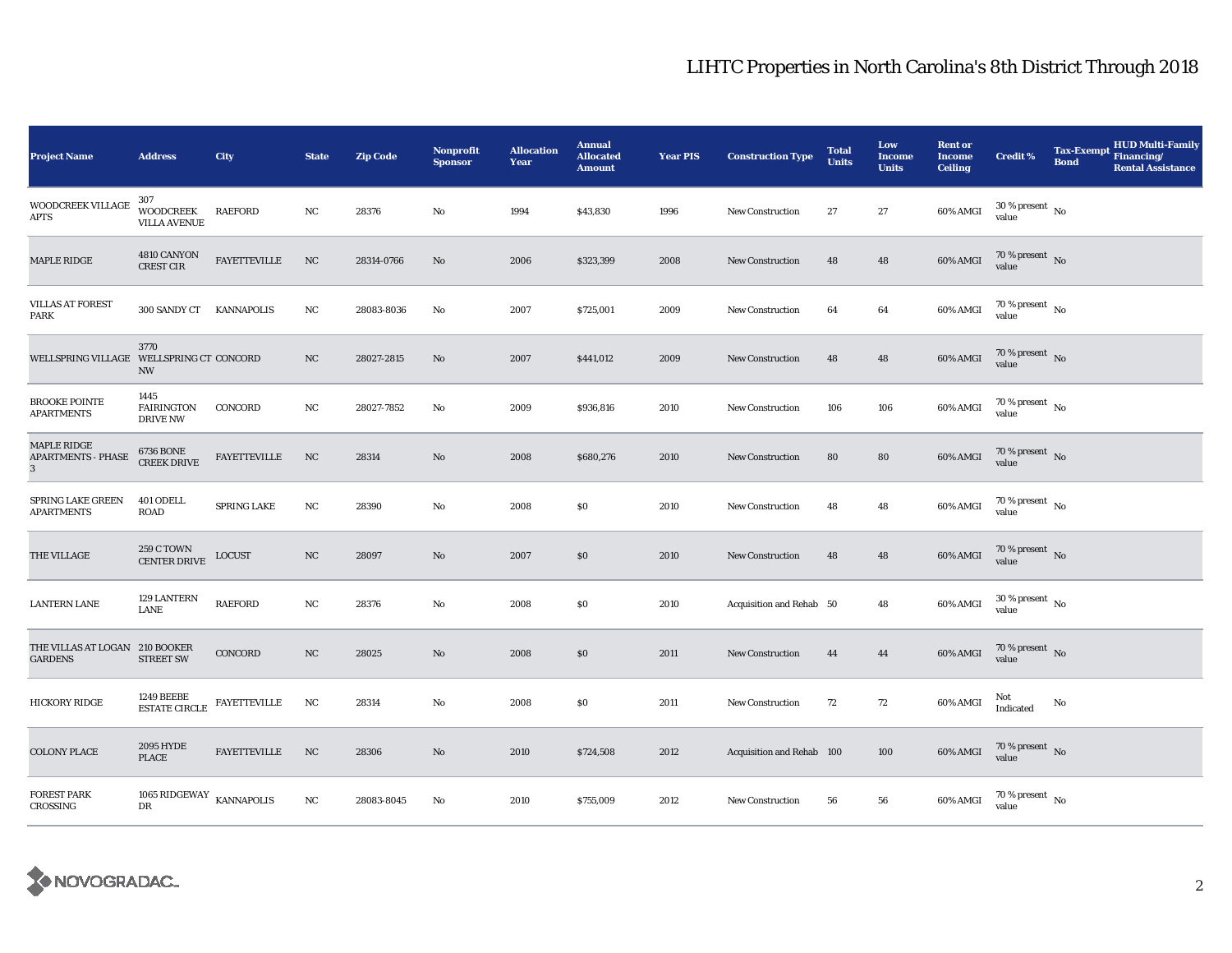| <b>Project Name</b>                              | <b>Address</b>                                 | City                | <b>State</b>     | <b>Zip Code</b> | <b>Nonprofit</b><br><b>Sponsor</b> | <b>Allocation</b><br>Year | <b>Annual</b><br><b>Allocated</b><br><b>Amount</b> | <b>Year PIS</b> | <b>Construction Type</b>  | <b>Total</b><br><b>Units</b> | Low<br><b>Income</b><br><b>Units</b> | <b>Rent or</b><br><b>Income</b><br><b>Ceiling</b> | <b>Credit %</b>                          | <b>Tax-Exempt</b><br>Financing/<br><b>Bond</b> | <b>HUD Multi-Family</b><br><b>Rental Assistance</b> |
|--------------------------------------------------|------------------------------------------------|---------------------|------------------|-----------------|------------------------------------|---------------------------|----------------------------------------------------|-----------------|---------------------------|------------------------------|--------------------------------------|---------------------------------------------------|------------------------------------------|------------------------------------------------|-----------------------------------------------------|
| WOODCREEK VILLAGE<br>APTS                        | 307<br><b>WOODCREEK</b><br><b>VILLA AVENUE</b> | <b>RAEFORD</b>      | NC               | 28376           | No                                 | 1994                      | \$43,830                                           | 1996            | <b>New Construction</b>   | 27                           | 27                                   | 60% AMGI                                          | $30$ % present $\,$ No $\,$<br>value     |                                                |                                                     |
| MAPLE RIDGE                                      | 4810 CANYON<br><b>CREST CIR</b>                | <b>FAYETTEVILLE</b> | NC               | 28314-0766      | No                                 | 2006                      | \$323,399                                          | 2008            | <b>New Construction</b>   | 48                           | 48                                   | 60% AMGI                                          | $70\,\%$ present $\,$ No $\,$<br>value   |                                                |                                                     |
| <b>VILLAS AT FOREST</b><br>PARK                  | 300 SANDY CT KANNAPOLIS                        |                     | NC               | 28083-8036      | No                                 | 2007                      | \$725,001                                          | 2009            | New Construction          | 64                           | 64                                   | 60% AMGI                                          | $70$ % present $\,$ No $\,$<br>value     |                                                |                                                     |
| WELLSPRING VILLAGE WELLSPRING CT CONCORD         | 3770<br>NW                                     |                     | NC               | 28027-2815      | No                                 | 2007                      | \$441,012                                          | 2009            | New Construction          | 48                           | 48                                   | 60% AMGI                                          | 70 % present $\,$ No $\,$<br>value       |                                                |                                                     |
| <b>BROOKE POINTE</b><br><b>APARTMENTS</b>        | 1445<br><b>FAIRINGTON</b><br><b>DRIVE NW</b>   | CONCORD             | NC               | 28027-7852      | No                                 | 2009                      | \$936,816                                          | 2010            | New Construction          | 106                          | 106                                  | 60% AMGI                                          | 70 % present $\hbox{~No}$<br>value       |                                                |                                                     |
| MAPLE RIDGE<br><b>APARTMENTS - PHASE</b><br>3    | <b>6736 BONE</b><br><b>CREEK DRIVE</b>         | <b>FAYETTEVILLE</b> | NC               | 28314           | No                                 | 2008                      | \$680,276                                          | 2010            | <b>New Construction</b>   | 80                           | 80                                   | 60% AMGI                                          | $70\,\%$ present $\,$ No value           |                                                |                                                     |
| SPRING LAKE GREEN<br><b>APARTMENTS</b>           | 401 ODELL<br><b>ROAD</b>                       | <b>SPRING LAKE</b>  | NC               | 28390           | No                                 | 2008                      | \$0                                                | 2010            | <b>New Construction</b>   | 48                           | 48                                   | 60% AMGI                                          | $70$ % present $\,$ No $\,$<br>value     |                                                |                                                     |
| THE VILLAGE                                      | $259$ C TOWN CENTER DRIVE                      | <b>LOCUST</b>       | NC               | 28097           | No                                 | 2007                      | \$0                                                | 2010            | <b>New Construction</b>   | 48                           | 48                                   | 60% AMGI                                          | $70\,\%$ present $\,$ No value           |                                                |                                                     |
| <b>LANTERN LANE</b>                              | 129 LANTERN<br>LANE                            | <b>RAEFORD</b>      | NC               | 28376           | No                                 | 2008                      | \$0                                                | 2010            | Acquisition and Rehab 50  |                              | 48                                   | 60% AMGI                                          | $30\,\%$ present $\,$ No $\,$<br>value   |                                                |                                                     |
| THE VILLAS AT LOGAN 210 BOOKER<br><b>GARDENS</b> | <b>STREET SW</b>                               | CONCORD             | $_{\mathrm{NC}}$ | 28025           | No                                 | 2008                      | \$0                                                | 2011            | <b>New Construction</b>   | 44                           | 44                                   | 60% AMGI                                          | $70\,\%$ present $\,$ No value           |                                                |                                                     |
| <b>HICKORY RIDGE</b>                             | 1249 BEEBE<br><b>ESTATE CIRCLE</b>             | FAYETTEVILLE        | NC               | 28314           | No                                 | 2008                      | $\$0$                                              | 2011            | <b>New Construction</b>   | 72                           | 72                                   | 60% AMGI                                          | Not<br>Indicated                         | No                                             |                                                     |
| <b>COLONY PLACE</b>                              | <b>2095 HYDE</b><br>PLACE                      | <b>FAYETTEVILLE</b> | NC               | 28306           | No                                 | 2010                      | \$724,508                                          | 2012            | Acquisition and Rehab 100 |                              | 100                                  | 60% AMGI                                          | $70\,\%$ present $\,$ No value           |                                                |                                                     |
| <b>FOREST PARK</b><br>CROSSING                   | 1065 RIDGEWAY $$\tt KANNAPOLIS$$<br>DR         |                     | NC               | 28083-8045      | No                                 | 2010                      | \$755,009                                          | 2012            | <b>New Construction</b>   | 56                           | 56                                   | 60% AMGI                                          | $70\,\%$ present $_{\, \rm No}$<br>value |                                                |                                                     |

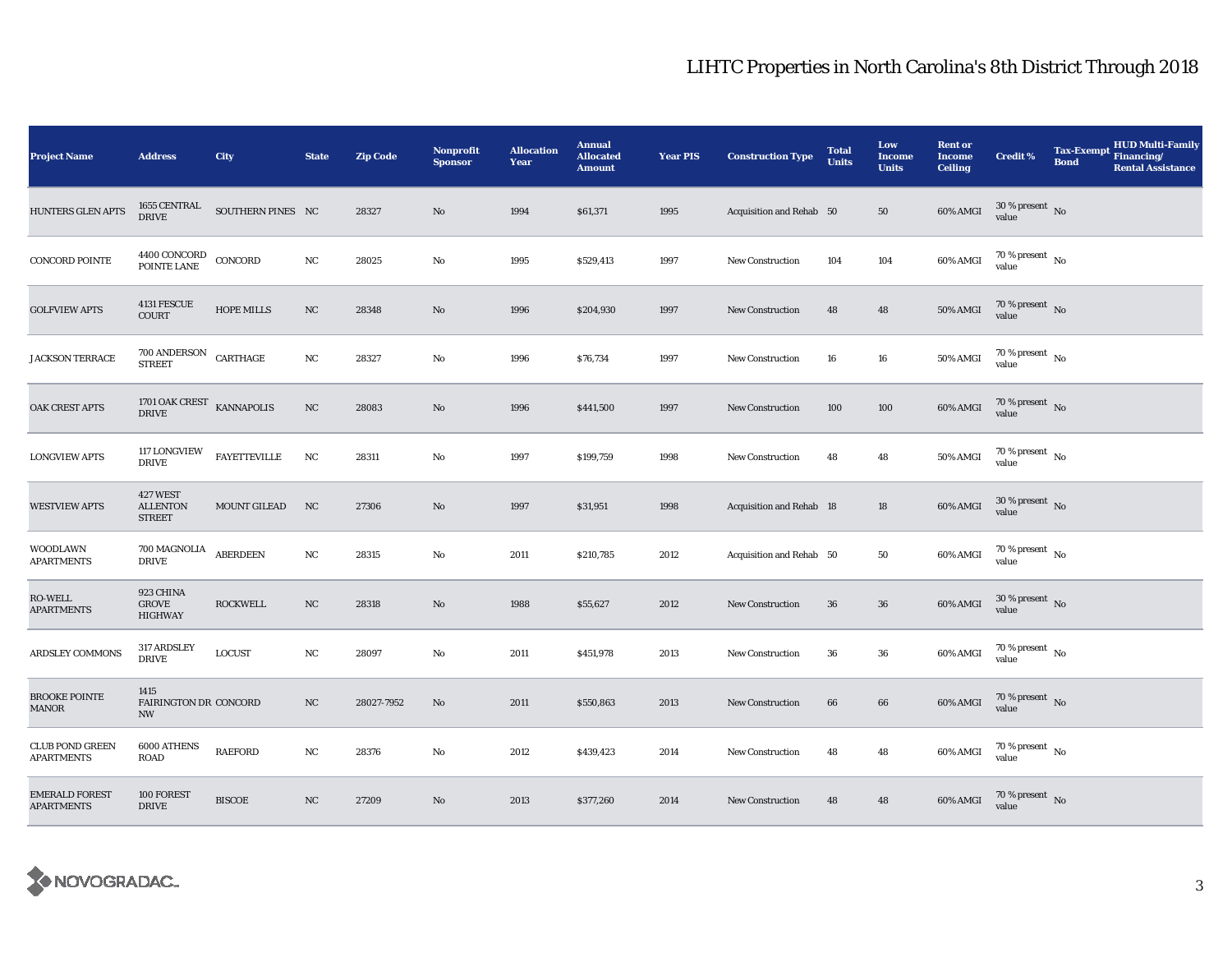| <b>Project Name</b>                         | <b>Address</b>                                | City                | <b>State</b> | <b>Zip Code</b> | <b>Nonprofit</b><br><b>Sponsor</b> | <b>Allocation</b><br>Year | <b>Annual</b><br><b>Allocated</b><br><b>Amount</b> | <b>Year PIS</b> | <b>Construction Type</b> | <b>Total</b><br><b>Units</b> | Low<br>Income<br><b>Units</b> | <b>Rent or</b><br><b>Income</b><br><b>Ceiling</b> | <b>Credit %</b>                        | <b>Tax-Exempt</b><br><b>Bond</b> | <b>HUD Multi-Family</b><br>Financing/<br><b>Rental Assistance</b> |
|---------------------------------------------|-----------------------------------------------|---------------------|--------------|-----------------|------------------------------------|---------------------------|----------------------------------------------------|-----------------|--------------------------|------------------------------|-------------------------------|---------------------------------------------------|----------------------------------------|----------------------------------|-------------------------------------------------------------------|
| <b>HUNTERS GLEN APTS</b>                    | $1655$ CENTRAL $\,$<br><b>DRIVE</b>           | SOUTHERN PINES NC   |              | 28327           | No                                 | 1994                      | \$61,371                                           | 1995            | Acquisition and Rehab 50 |                              | 50                            | 60% AMGI                                          | $30$ % present $\,$ No $\,$<br>value   |                                  |                                                                   |
| <b>CONCORD POINTE</b>                       | 4400 CONCORD CONCORD<br>POINTE LANE CONCORD   |                     | NC           | 28025           | No                                 | 1995                      | \$529,413                                          | 1997            | <b>New Construction</b>  | 104                          | 104                           | 60% AMGI                                          | $70$ % present $\,$ No $\,$<br>value   |                                  |                                                                   |
| <b>GOLFVIEW APTS</b>                        | 4131 FESCUE<br><b>COURT</b>                   | <b>HOPE MILLS</b>   | NC           | 28348           | No                                 | 1996                      | \$204,930                                          | 1997            | <b>New Construction</b>  | 48                           | 48                            | 50% AMGI                                          | $70\,\%$ present $\,$ No value         |                                  |                                                                   |
| <b>JACKSON TERRACE</b>                      | $700\,\mathrm{ANDERSON}\quad$ CARTHAGE STREET |                     | NC           | 28327           | No                                 | 1996                      | \$76,734                                           | 1997            | New Construction         | 16                           | 16                            | 50% AMGI                                          | $70$ % present $\,$ No $\,$<br>value   |                                  |                                                                   |
| OAK CREST APTS                              | 1701 OAK CREST $$\tt KANNAPOLIS$$             |                     | NC           | 28083           | No                                 | 1996                      | \$441,500                                          | 1997            | <b>New Construction</b>  | 100                          | 100                           | 60% AMGI                                          | $70\,\%$ present $\,$ No value         |                                  |                                                                   |
| <b>LONGVIEW APTS</b>                        | 117 LONGVIEW<br><b>DRIVE</b>                  | <b>FAYETTEVILLE</b> | NC           | 28311           | No                                 | 1997                      | \$199,759                                          | 1998            | <b>New Construction</b>  | 48                           | 48                            | 50% AMGI                                          | $70$ % present $\,$ No $\,$<br>value   |                                  |                                                                   |
| <b>WESTVIEW APTS</b>                        | 427 WEST<br><b>ALLENTON</b><br><b>STREET</b>  | MOUNT GILEAD        | NC           | 27306           | $\mathbf{No}$                      | 1997                      | \$31,951                                           | 1998            | Acquisition and Rehab 18 |                              | 18                            | 60% AMGI                                          | $30$ % present $\,$ No $\,$<br>value   |                                  |                                                                   |
| WOODLAWN<br><b>APARTMENTS</b>               | 700 MAGNOLIA<br><b>DRIVE</b>                  | <b>ABERDEEN</b>     | $_{\rm NC}$  | 28315           | $\rm No$                           | 2011                      | \$210,785                                          | 2012            | Acquisition and Rehab 50 |                              | 50                            | 60% AMGI                                          | 70 % present $\hbox{~No}$<br>value     |                                  |                                                                   |
| RO-WELL<br><b>APARTMENTS</b>                | 923 CHINA<br><b>GROVE</b><br><b>HIGHWAY</b>   | <b>ROCKWELL</b>     | NC           | 28318           | No                                 | 1988                      | \$55,627                                           | 2012            | New Construction         | 36                           | 36                            | 60% AMGI                                          | $30\,\%$ present $\,$ No $\,$<br>value |                                  |                                                                   |
| <b>ARDSLEY COMMONS</b>                      | 317 ARDSLEY<br><b>DRIVE</b>                   | <b>LOCUST</b>       | NC           | 28097           | No                                 | 2011                      | \$451,978                                          | 2013            | <b>New Construction</b>  | 36                           | ${\bf 36}$                    | 60% AMGI                                          | $70$ % present $\,$ No $\,$<br>value   |                                  |                                                                   |
| <b>BROOKE POINTE</b><br><b>MANOR</b>        | 1415<br>FAIRINGTON DR CONCORD<br>NW           |                     | NC           | 28027-7952      | No                                 | 2011                      | \$550,863                                          | 2013            | <b>New Construction</b>  | 66                           | 66                            | 60% AMGI                                          | 70 % present $\hbox{~No}$<br>value     |                                  |                                                                   |
| <b>CLUB POND GREEN</b><br><b>APARTMENTS</b> | 6000 ATHENS<br><b>ROAD</b>                    | <b>RAEFORD</b>      | $_{\rm NC}$  | 28376           | No                                 | 2012                      | \$439,423                                          | 2014            | <b>New Construction</b>  | 48                           | 48                            | 60% AMGI                                          | 70 % present $\hbox{~No}$<br>value     |                                  |                                                                   |
| <b>EMERALD FOREST</b><br><b>APARTMENTS</b>  | 100 FOREST<br><b>DRIVE</b>                    | <b>BISCOE</b>       | NC           | 27209           | $\mathbf{N}\mathbf{o}$             | 2013                      | \$377,260                                          | 2014            | <b>New Construction</b>  | 48                           | 48                            | 60% AMGI                                          | $70\,\%$ present $\,$ No value         |                                  |                                                                   |

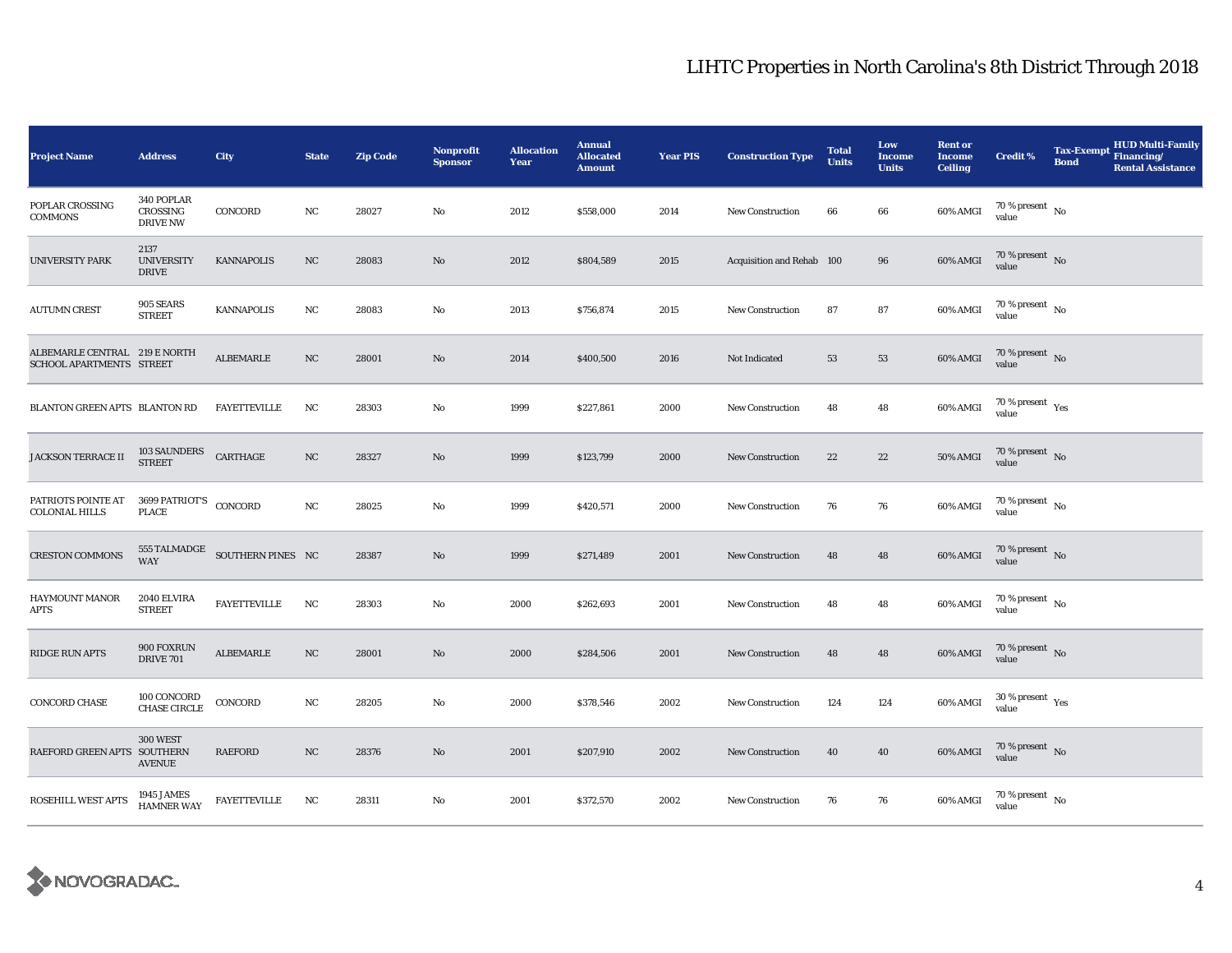| <b>Project Name</b>                                            | <b>Address</b>                                     | City                           | <b>State</b> | <b>Zip Code</b> | <b>Nonprofit</b><br><b>Sponsor</b> | <b>Allocation</b><br>Year | <b>Annual</b><br><b>Allocated</b><br><b>Amount</b> | <b>Year PIS</b> | <b>Construction Type</b>  | <b>Total</b><br><b>Units</b> | Low<br><b>Income</b><br><b>Units</b> | <b>Rent or</b><br><b>Income</b><br><b>Ceiling</b> | <b>Credit %</b>                             | <b>HUD Multi-Family</b><br>Tax-Exempt Financing/<br><b>Bond</b><br><b>Rental Assistance</b> |
|----------------------------------------------------------------|----------------------------------------------------|--------------------------------|--------------|-----------------|------------------------------------|---------------------------|----------------------------------------------------|-----------------|---------------------------|------------------------------|--------------------------------------|---------------------------------------------------|---------------------------------------------|---------------------------------------------------------------------------------------------|
| POPLAR CROSSING<br>COMMONS                                     | 340 POPLAR<br>CROSSING<br><b>DRIVE NW</b>          | CONCORD                        | NC           | 28027           | No                                 | 2012                      | \$558,000                                          | 2014            | <b>New Construction</b>   | 66                           | 66                                   | 60% AMGI                                          | 70 % present $\hbox{~No}$<br>value          |                                                                                             |
| <b>UNIVERSITY PARK</b>                                         | 2137<br><b>UNIVERSITY</b><br><b>DRIVE</b>          | <b>KANNAPOLIS</b>              | NC           | 28083           | No                                 | 2012                      | \$804,589                                          | 2015            | Acquisition and Rehab 100 |                              | 96                                   | 60% AMGI                                          | 70 % present No<br>value                    |                                                                                             |
| <b>AUTUMN CREST</b>                                            | 905 SEARS<br><b>STREET</b>                         | <b>KANNAPOLIS</b>              | NC           | 28083           | No                                 | 2013                      | \$756,874                                          | 2015            | New Construction          | 87                           | 87                                   | 60% AMGI                                          | 70 % present $\hbox{~No}$<br>value          |                                                                                             |
| ALBEMARLE CENTRAL 219 E NORTH<br>SCHOOL APARTMENTS STREET      |                                                    | <b>ALBEMARLE</b>               | $_{\rm NC}$  | 28001           | $\mathbf{N}\mathbf{o}$             | 2014                      | \$400,500                                          | 2016            | Not Indicated             | 53                           | 53                                   | 60% AMGI                                          | 70 % present $\hbox{~No}$<br>value          |                                                                                             |
| BLANTON GREEN APTS BLANTON RD                                  |                                                    | <b>FAYETTEVILLE</b>            | NC           | 28303           | No                                 | 1999                      | \$227,861                                          | 2000            | <b>New Construction</b>   | 48                           | 48                                   | 60% AMGI                                          | 70 % present $\rm\thinspace_{Yes}$<br>value |                                                                                             |
| JACKSON TERRACE II                                             | $103\text{ SAUNDERS} \hspace{2em} \text{CARTHAGE}$ |                                | $_{\rm NC}$  | 28327           | $\mathbf{N}\mathbf{o}$             | 1999                      | \$123,799                                          | 2000            | <b>New Construction</b>   | 22                           | $\bf{22}$                            | 50% AMGI                                          | $70\,\%$ present $${\rm No}$$ value         |                                                                                             |
| PATRIOTS POINTE AT 3699 PATRIOT'S CONCORD COLONIAL HILLS PLACE |                                                    |                                | NC           | 28025           | No                                 | 1999                      | \$420,571                                          | 2000            | <b>New Construction</b>   | 76                           | 76                                   | 60% AMGI                                          | $70$ % present $\,$ No $\,$<br>value        |                                                                                             |
| <b>CRESTON COMMONS</b>                                         | <b>WAY</b>                                         | 555 TALMADGE SOUTHERN PINES NC |              | 28387           | $\mathbf{N}\mathbf{o}$             | 1999                      | \$271,489                                          | 2001            | <b>New Construction</b>   | 48                           | 48                                   | 60% AMGI                                          | $70\,\%$ present $\,$ No value              |                                                                                             |
| <b>HAYMOUNT MANOR</b><br>APTS                                  | 2040 ELVIRA<br><b>STREET</b>                       | <b>FAYETTEVILLE</b>            | NC           | 28303           | No                                 | 2000                      | \$262,693                                          | 2001            | <b>New Construction</b>   | 48                           | 48                                   | 60% AMGI                                          | $70$ % present $\,$ No $\,$<br>value        |                                                                                             |
| <b>RIDGE RUN APTS</b>                                          | 900 FOXRUN<br><b>DRIVE 701</b>                     | <b>ALBEMARLE</b>               | $_{\rm NC}$  | 28001           | $\mathbf{N}\mathbf{o}$             | 2000                      | \$284,506                                          | 2001            | New Construction          | 48                           | 48                                   | 60% AMGI                                          | $70\,\%$ present $\,$ No value              |                                                                                             |
| <b>CONCORD CHASE</b>                                           | 100 CONCORD<br><b>CHASE CIRCLE</b>                 | CONCORD                        | NC           | 28205           | No                                 | 2000                      | \$378,546                                          | 2002            | <b>New Construction</b>   | 124                          | 124                                  | 60% AMGI                                          | $30\,\%$ present $\,$ $\rm Yes$<br>value    |                                                                                             |
| RAEFORD GREEN APTS SOUTHERN                                    | <b>300 WEST</b><br><b>AVENUE</b>                   | <b>RAEFORD</b>                 | $_{\rm NC}$  | 28376           | $\mathbf{N}\mathbf{o}$             | 2001                      | \$207,910                                          | 2002            | <b>New Construction</b>   | 40                           | 40                                   | 60% AMGI                                          | $70\,\%$ present $\,$ No value              |                                                                                             |
| ROSEHILL WEST APTS                                             | 1945 JAMES<br>HAMNER WAY                           | <b>FAYETTEVILLE</b>            | NC           | 28311           | No                                 | 2001                      | \$372,570                                          | 2002            | <b>New Construction</b>   | 76                           | 76                                   | 60% AMGI                                          | $70\,\%$ present $\,$ No value              |                                                                                             |

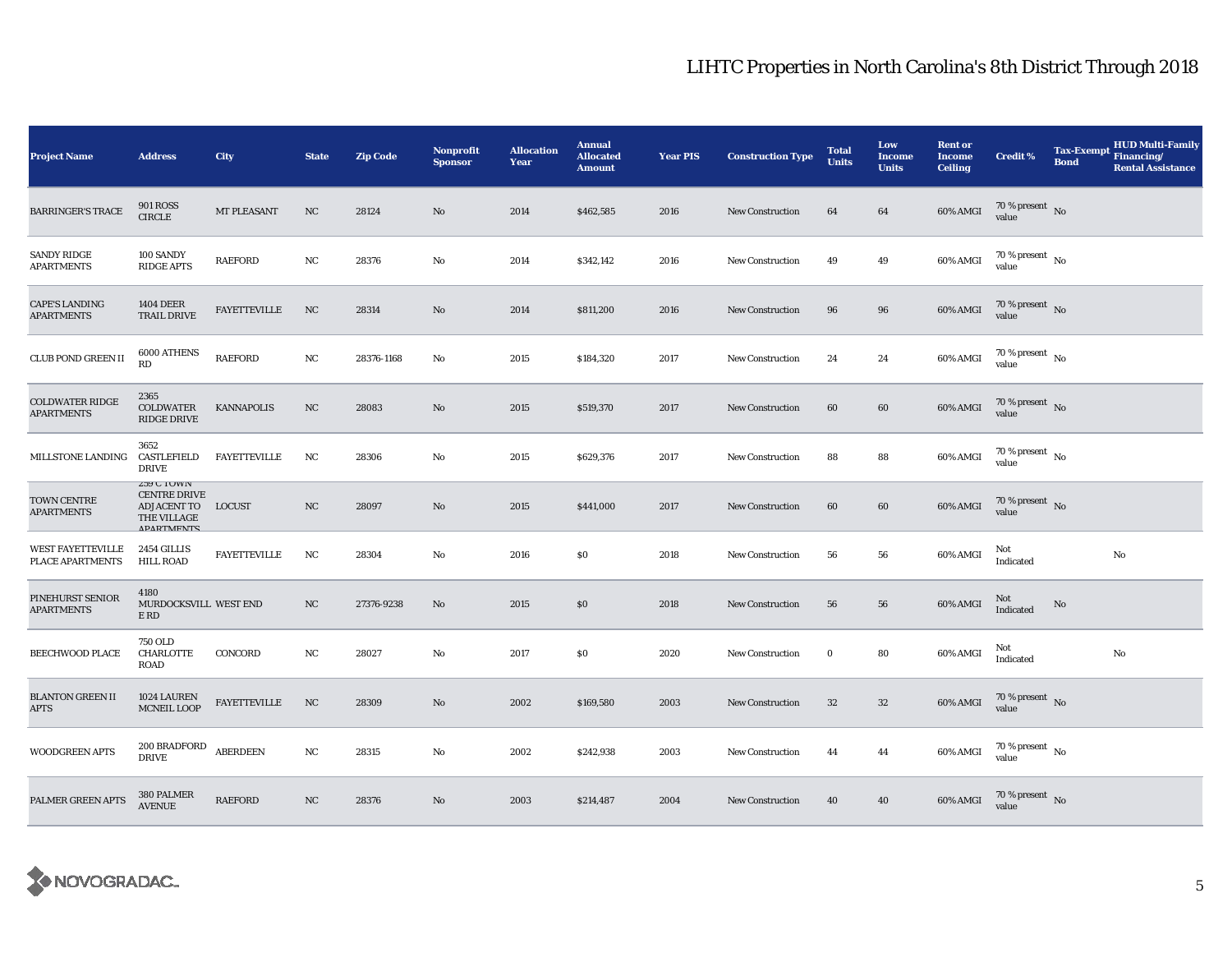| <b>Project Name</b>                         | <b>Address</b>                                                                             | City                | <b>State</b> | <b>Zip Code</b> | <b>Nonprofit</b><br><b>Sponsor</b> | <b>Allocation</b><br><b>Year</b> | <b>Annual</b><br><b>Allocated</b><br><b>Amount</b> | <b>Year PIS</b> | <b>Construction Type</b> | <b>Total</b><br><b>Units</b> | Low<br>Income<br><b>Units</b> | <b>Rent or</b><br><b>Income</b><br><b>Ceiling</b> | <b>Credit %</b>                      | <b>Tax-Exempt</b><br><b>Bond</b> | <b>HUD Multi-Family</b><br>Financing/<br><b>Rental Assistance</b> |
|---------------------------------------------|--------------------------------------------------------------------------------------------|---------------------|--------------|-----------------|------------------------------------|----------------------------------|----------------------------------------------------|-----------------|--------------------------|------------------------------|-------------------------------|---------------------------------------------------|--------------------------------------|----------------------------------|-------------------------------------------------------------------|
| <b>BARRINGER'S TRACE</b>                    | <b>901 ROSS</b><br>$\ensuremath{\mathsf{CIRCLE}}$                                          | MT PLEASANT         | NC           | 28124           | No                                 | 2014                             | \$462,585                                          | 2016            | <b>New Construction</b>  | 64                           | 64                            | 60% AMGI                                          | 70 % present $\,$ No $\,$<br>value   |                                  |                                                                   |
| <b>SANDY RIDGE</b><br>APARTMENTS            | 100 SANDY<br><b>RIDGE APTS</b>                                                             | <b>RAEFORD</b>      | NC           | 28376           | No                                 | 2014                             | \$342,142                                          | 2016            | <b>New Construction</b>  | 49                           | 49                            | 60% AMGI                                          | $70$ % present $\,$ No $\,$<br>value |                                  |                                                                   |
| <b>CAPE'S LANDING</b><br><b>APARTMENTS</b>  | <b>1404 DEER</b><br><b>TRAIL DRIVE</b>                                                     | <b>FAYETTEVILLE</b> | NC           | 28314           | No                                 | 2014                             | \$811,200                                          | 2016            | <b>New Construction</b>  | 96                           | 96                            | 60% AMGI                                          | 70 % present No<br>value             |                                  |                                                                   |
| <b>CLUB POND GREEN II</b>                   | 6000 ATHENS<br>RD                                                                          | <b>RAEFORD</b>      | NC           | 28376-1168      | No                                 | 2015                             | \$184,320                                          | 2017            | <b>New Construction</b>  | 24                           | 24                            | 60% AMGI                                          | $70$ % present $\,$ No $\,$<br>value |                                  |                                                                   |
| <b>COLDWATER RIDGE</b><br><b>APARTMENTS</b> | 2365<br><b>COLDWATER</b><br>RIDGE DRIVE                                                    | <b>KANNAPOLIS</b>   | $_{\rm NC}$  | 28083           | No                                 | 2015                             | \$519,370                                          | 2017            | <b>New Construction</b>  | 60                           | 60                            | 60% AMGI                                          | 70 % present $\hbox{~No}$<br>value   |                                  |                                                                   |
| MILLSTONE LANDING                           | 3652<br>CASTLEFIELD<br><b>DRIVE</b>                                                        | <b>FAYETTEVILLE</b> | NC           | 28306           | No                                 | 2015                             | \$629,376                                          | 2017            | <b>New Construction</b>  | 88                           | 88                            | 60% AMGI                                          | $70$ % present $\,$ No $\,$<br>value |                                  |                                                                   |
| TOWN CENTRE<br><b>APARTMENTS</b>            | 239U1UVIN<br><b>CENTRE DRIVE</b><br><b>ADJACENT TO</b><br>THE VILLAGE<br><b>ADADTMENTS</b> | <b>LOCUST</b>       | NC           | 28097           | No                                 | 2015                             | \$441,000                                          | 2017            | <b>New Construction</b>  | 60                           | 60                            | 60% AMGI                                          | 70 % present $\,$ No $\,$<br>value   |                                  |                                                                   |
| WEST FAYETTEVILLE<br>PLACE APARTMENTS       | 2454 GILLIS<br><b>HILL ROAD</b>                                                            | <b>FAYETTEVILLE</b> | NC           | 28304           | No                                 | 2016                             | \$0                                                | 2018            | <b>New Construction</b>  | 56                           | 56                            | 60% AMGI                                          | Not<br>Indicated                     |                                  | No                                                                |
| PINEHURST SENIOR<br><b>APARTMENTS</b>       | 4180<br>MURDOCKSVILL WEST END<br>E RD                                                      |                     | NC           | 27376-9238      | No                                 | 2015                             | \$0\$                                              | 2018            | <b>New Construction</b>  | 56                           | 56                            | 60% AMGI                                          | Not<br>Indicated                     | No                               |                                                                   |
| <b>BEECHWOOD PLACE</b>                      | <b>750 OLD</b><br>CHARLOTTE<br>ROAD                                                        | CONCORD             | NC           | 28027           | No                                 | 2017                             | \$0                                                | 2020            | <b>New Construction</b>  | $\bf{0}$                     | 80                            | 60% AMGI                                          | Not<br>Indicated                     |                                  | No                                                                |
| <b>BLANTON GREEN II</b><br><b>APTS</b>      | 1024 LAUREN<br><b>MCNEIL LOOP</b>                                                          | <b>FAYETTEVILLE</b> | NC           | 28309           | No                                 | 2002                             | \$169,580                                          | 2003            | <b>New Construction</b>  | 32                           | $32\,$                        | 60% AMGI                                          | 70 % present $\,$ No $\,$<br>value   |                                  |                                                                   |
| <b>WOODGREEN APTS</b>                       | $200$ BRADFORD<br><b>DRIVE</b>                                                             | <b>ABERDEEN</b>     | NC           | 28315           | No                                 | 2002                             | \$242,938                                          | 2003            | <b>New Construction</b>  | 44                           | 44                            | 60% AMGI                                          | 70 % present $\hbox{~No}$<br>value   |                                  |                                                                   |
| PALMER GREEN APTS                           | 380 PALMER<br><b>AVENUE</b>                                                                | <b>RAEFORD</b>      | NC           | 28376           | No                                 | 2003                             | \$214,487                                          | 2004            | <b>New Construction</b>  | 40                           | 40                            | 60% AMGI                                          | $70\,\%$ present $\,$ No value       |                                  |                                                                   |

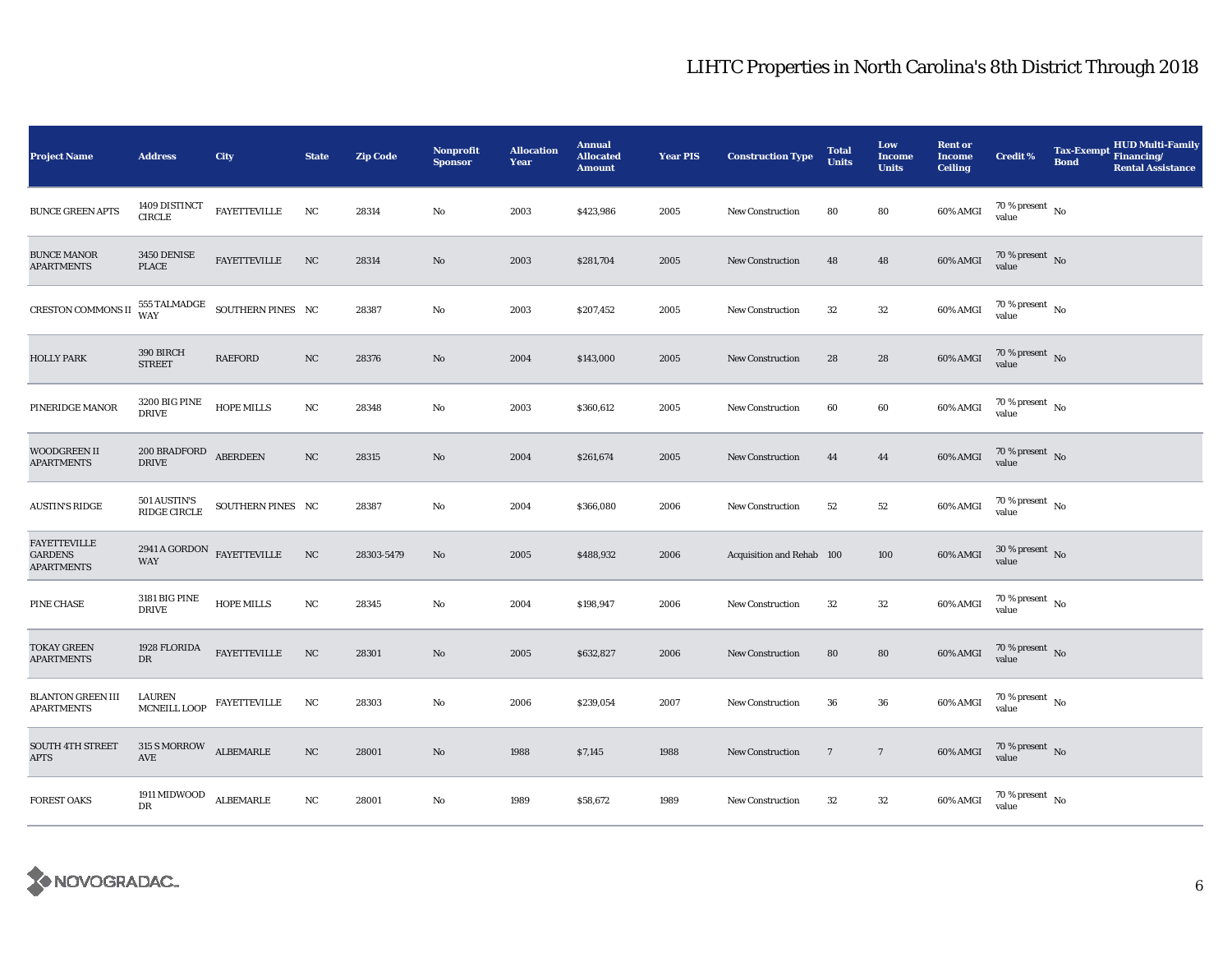| <b>Project Name</b>                                 | <b>Address</b>                                           | City                                                | <b>State</b>     | <b>Zip Code</b> | <b>Nonprofit</b><br><b>Sponsor</b> | <b>Allocation</b><br>Year | <b>Annual</b><br><b>Allocated</b><br><b>Amount</b> | <b>Year PIS</b> | <b>Construction Type</b>  | <b>Total</b><br><b>Units</b> | Low<br><b>Income</b><br><b>Units</b> | <b>Rent or</b><br><b>Income</b><br><b>Ceiling</b> | <b>Credit %</b>                          | <b>Tax-Exempt</b><br><b>Bond</b> | <b>HUD Multi-Family</b><br>Financing/<br><b>Rental Assistance</b> |
|-----------------------------------------------------|----------------------------------------------------------|-----------------------------------------------------|------------------|-----------------|------------------------------------|---------------------------|----------------------------------------------------|-----------------|---------------------------|------------------------------|--------------------------------------|---------------------------------------------------|------------------------------------------|----------------------------------|-------------------------------------------------------------------|
| <b>BUNCE GREEN APTS</b>                             | 1409 DISTINCT<br><b>CIRCLE</b>                           | <b>FAYETTEVILLE</b>                                 | NC               | 28314           | No                                 | 2003                      | \$423,986                                          | 2005            | <b>New Construction</b>   | 80                           | 80                                   | 60% AMGI                                          | 70 % present $\hbox{~No}$<br>value       |                                  |                                                                   |
| <b>BUNCE MANOR</b><br><b>APARTMENTS</b>             | 3450 DENISE<br><b>PLACE</b>                              | <b>FAYETTEVILLE</b>                                 | NC               | 28314           | No                                 | 2003                      | \$281,704                                          | 2005            | <b>New Construction</b>   | 48                           | 48                                   | 60% AMGI                                          | $70\%$ present No<br>value               |                                  |                                                                   |
| CRESTON COMMONS II                                  |                                                          | $555$ TALMADGE $\;$ SOUTHERN PINES $\;$ NC $\;$ WAY |                  | 28387           | No                                 | 2003                      | \$207,452                                          | 2005            | New Construction          | $32\,$                       | ${\bf 32}$                           | 60% AMGI                                          | $70$ % present $\,$ $_{\rm No}$<br>value |                                  |                                                                   |
| <b>HOLLY PARK</b>                                   | 390 BIRCH<br><b>STREET</b>                               | <b>RAEFORD</b>                                      | NC               | 28376           | No                                 | 2004                      | \$143,000                                          | 2005            | New Construction          | 28                           | 28                                   | 60% AMGI                                          | $70\,\%$ present $\,$ No value           |                                  |                                                                   |
| PINERIDGE MANOR                                     | 3200 BIG PINE<br><b>DRIVE</b>                            | HOPE MILLS                                          | NC               | 28348           | No                                 | 2003                      | \$360,612                                          | 2005            | <b>New Construction</b>   | 60                           | 60                                   | 60% AMGI                                          | $70\,\%$ present $\,$ No value           |                                  |                                                                   |
| <b>WOODGREEN II</b><br><b>APARTMENTS</b>            | $200$ BRADFORD ABERDEEN<br><b>DRIVE</b>                  |                                                     | $_{\mathrm{NC}}$ | 28315           | $\mathbf{No}$                      | 2004                      | \$261,674                                          | 2005            | <b>New Construction</b>   | 44                           | 44                                   | 60% AMGI                                          | $70\,\%$ present $\,$ No value           |                                  |                                                                   |
| <b>AUSTIN'S RIDGE</b>                               | 501 AUSTIN'S<br>RIDGE CIRCLE                             | SOUTHERN PINES NC                                   |                  | 28387           | No                                 | 2004                      | \$366,080                                          | 2006            | <b>New Construction</b>   | 52                           | $^{\rm 52}$                          | 60% AMGI                                          | $70$ % present $\,$ No $\,$<br>value     |                                  |                                                                   |
| <b>FAYETTEVILLE</b><br>GARDENS<br><b>APARTMENTS</b> | <b>WAY</b>                                               | 2941 A GORDON FAYETTEVILLE                          | NC               | 28303-5479      | No                                 | 2005                      | \$488,932                                          | 2006            | Acquisition and Rehab 100 |                              | 100                                  | 60% AMGI                                          | $30\,\%$ present $\,$ No value           |                                  |                                                                   |
| PINE CHASE                                          | <b>3181 BIG PINE</b><br><b>DRIVE</b>                     | HOPE MILLS                                          | NC               | 28345           | No                                 | 2004                      | \$198,947                                          | 2006            | New Construction          | 32                           | 32                                   | 60% AMGI                                          | $70\,\%$ present $\,$ No value           |                                  |                                                                   |
| <b>TOKAY GREEN</b><br><b>APARTMENTS</b>             | 1928 FLORIDA<br>DR                                       | FAYETTEVILLE                                        | NC               | 28301           | No                                 | 2005                      | \$632,827                                          | 2006            | <b>New Construction</b>   | 80                           | 80                                   | 60% AMGI                                          | $70\,\%$ present $\,$ No value           |                                  |                                                                   |
| <b>BLANTON GREEN III</b><br><b>APARTMENTS</b>       | LAUREN<br>MCNEILL LOOP                                   | ${\tt FAYETTEVILLE}$                                | NC               | 28303           | No                                 | 2006                      | \$239,054                                          | 2007            | <b>New Construction</b>   | 36                           | 36                                   | 60% AMGI                                          | 70 % present $\hbox{~No}$<br>value       |                                  |                                                                   |
| <b>SOUTH 4TH STREET</b><br><b>APTS</b>              | $315$ S MORROW $\quad$ ALBEMARLE<br>$\operatorname{AVE}$ |                                                     | $_{\mathrm{NC}}$ | 28001           | No                                 | 1988                      | \$7,145                                            | 1988            | New Construction          | $7\phantom{.0}$              | $7\phantom{.0}$                      | 60% AMGI                                          | $70\,\%$ present $\,$ No value           |                                  |                                                                   |
| <b>FOREST OAKS</b>                                  | 1911 MIDWOOD ALBEMARLE<br>DR                             |                                                     | NC               | 28001           | No                                 | 1989                      | \$58,672                                           | 1989            | <b>New Construction</b>   | 32                           | ${\bf 32}$                           | 60% AMGI                                          | $70\,\%$ present $\,$ No value           |                                  |                                                                   |

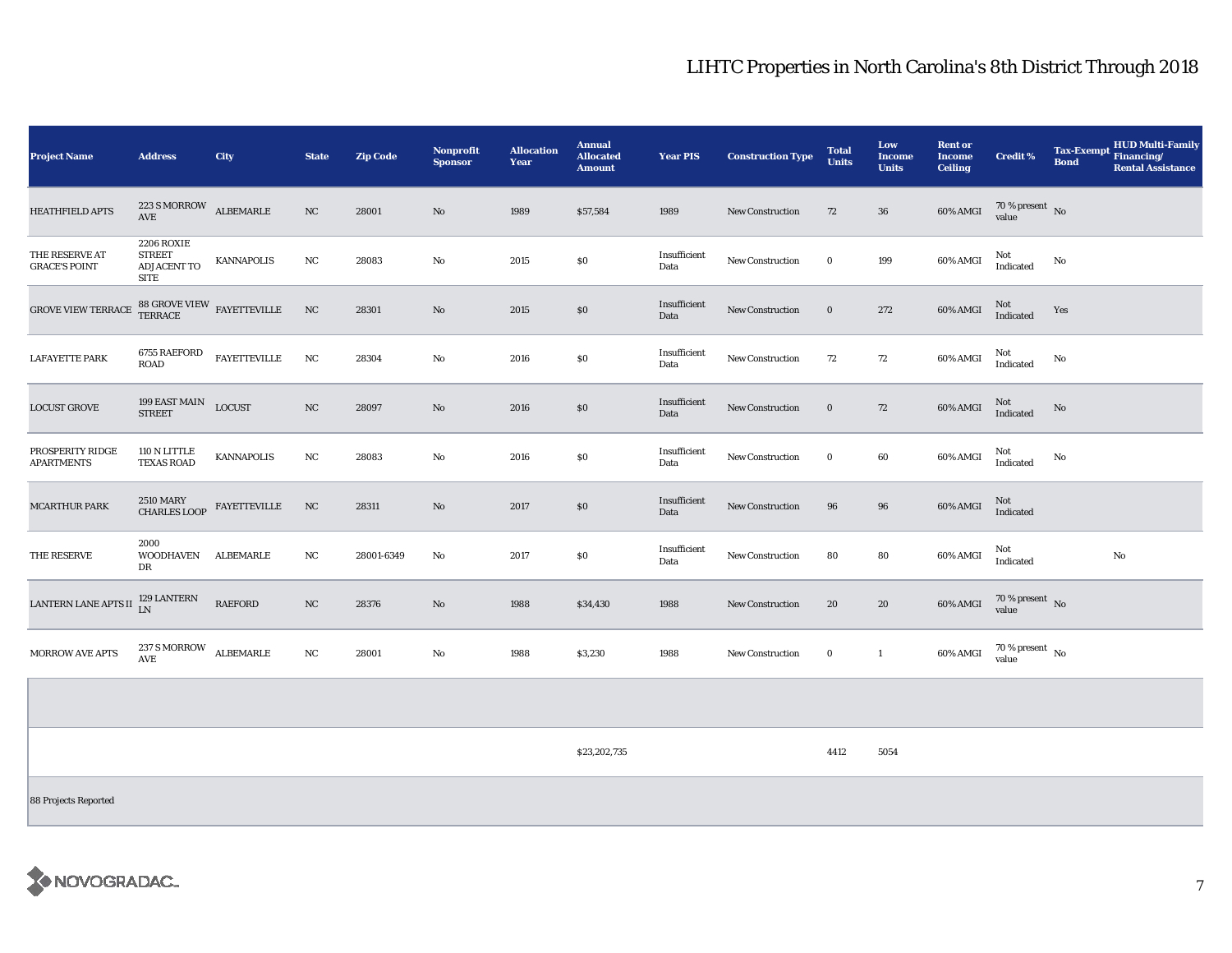| <b>Project Name</b>                    | <b>Address</b>                                                          | <b>City</b>         | <b>State</b> | <b>Zip Code</b> | Nonprofit<br><b>Sponsor</b> | <b>Allocation</b><br>Year | <b>Annual</b><br><b>Allocated</b><br><b>Amount</b> | <b>Year PIS</b>      | <b>Construction Type</b> | <b>Total</b><br><b>Units</b> | Low<br><b>Income</b><br><b>Units</b> | <b>Rent or</b><br><b>Income</b><br><b>Ceiling</b> | <b>Credit %</b>                | <b>Bond</b> | Tax-Exempt HUD Multi-Family<br><b>Rental Assistance</b> |
|----------------------------------------|-------------------------------------------------------------------------|---------------------|--------------|-----------------|-----------------------------|---------------------------|----------------------------------------------------|----------------------|--------------------------|------------------------------|--------------------------------------|---------------------------------------------------|--------------------------------|-------------|---------------------------------------------------------|
| <b>HEATHFIELD APTS</b>                 | $223\,\mathrm{S}\,\mathrm{MORROW}$ ALBEMARLE<br>AVE                     |                     | NC           | 28001           | No                          | 1989                      | \$57,584                                           | 1989                 | <b>New Construction</b>  | 72                           | 36                                   | 60% AMGI                                          | $70\,\%$ present $$$ No value  |             |                                                         |
| THE RESERVE AT<br><b>GRACE'S POINT</b> | <b>2206 ROXIE</b><br><b>STREET</b><br><b>ADJACENT TO</b><br><b>SITE</b> | <b>KANNAPOLIS</b>   | NC           | 28083           | No                          | 2015                      | \$0\$                                              | Insufficient<br>Data | New Construction         | $\bf{0}$                     | 199                                  | 60% AMGI                                          | Not<br>Indicated               | No          |                                                         |
| <b>GROVE VIEW TERRACE</b>              | $88$ GROVE VIEW $$\,$ FAYETTEVILLE TERRACE                              |                     | NC           | 28301           | No                          | 2015                      | \$0                                                | Insufficient<br>Data | <b>New Construction</b>  | $\bf{0}$                     | 272                                  | 60% AMGI                                          | Not<br>Indicated               | Yes         |                                                         |
| <b>LAFAYETTE PARK</b>                  | 6755 RAEFORD<br><b>ROAD</b>                                             | <b>FAYETTEVILLE</b> | NC           | 28304           | No                          | 2016                      | $\$0$                                              | Insufficient<br>Data | New Construction         | 72                           | 72                                   | 60% AMGI                                          | Not<br>Indicated               | No          |                                                         |
| <b>LOCUST GROVE</b>                    | 199 EAST MAIN<br>STREET                                                 | <b>LOCUST</b>       | NC           | 28097           | $\mathbf{N}\mathbf{o}$      | 2016                      | \$0\$                                              | Insufficient<br>Data | <b>New Construction</b>  | $\mathbf{0}$                 | 72                                   | 60% AMGI                                          | Not<br>Indicated               | No          |                                                         |
| PROSPERITY RIDGE<br><b>APARTMENTS</b>  | 110 N LITTLE<br><b>TEXAS ROAD</b>                                       | <b>KANNAPOLIS</b>   | NC           | 28083           | No                          | 2016                      | \$0                                                | Insufficient<br>Data | <b>New Construction</b>  | $\bf{0}$                     | 60                                   | 60% AMGI                                          | Not<br>Indicated               | No          |                                                         |
| <b>MCARTHUR PARK</b>                   | <b>2510 MARY</b><br><b>CHARLES LOOP</b>                                 | FAYETTEVILLE        | NC           | 28311           | No                          | 2017                      | \$0                                                | Insufficient<br>Data | New Construction         | 96                           | 96                                   | 60% AMGI                                          | Not<br>Indicated               |             |                                                         |
| THE RESERVE                            | 2000<br><b>WOODHAVEN</b><br>DR                                          | ALBEMARLE           | NC           | 28001-6349      | No                          | 2017                      | \$0                                                | Insufficient<br>Data | <b>New Construction</b>  | 80                           | 80                                   | 60% AMGI                                          | Not<br>Indicated               |             | No                                                      |
| <b>LANTERN LANE APTS II</b>            | 129 LANTERN LN                                                          | <b>RAEFORD</b>      | NC           | 28376           | No                          | 1988                      | \$34,430                                           | 1988                 | <b>New Construction</b>  | 20                           | 20                                   | 60% AMGI                                          | $70\,\%$ present $\,$ No value |             |                                                         |
| <b>MORROW AVE APTS</b>                 | $237\,\mathrm{S}\,\mathrm{MORROW}$ ALBEMARLE<br>AVE                     |                     | $_{\rm NC}$  | 28001           | No                          | 1988                      | \$3,230                                            | 1988                 | <b>New Construction</b>  | $\bf{0}$                     | $\mathbf{1}$                         | 60% AMGI                                          | $70\,\%$ present $\,$ No value |             |                                                         |

\$23,202,735 4412 5054

88 Projects Reported